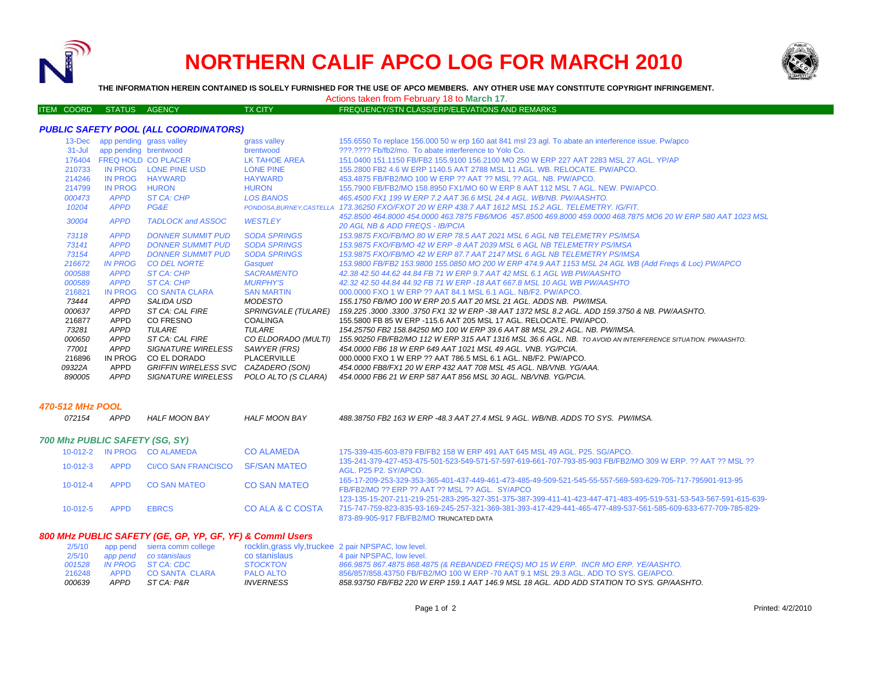

# **NORTHERN CALIF APCO LOG FOR MARCH 2010**



**THE INFORMATION HEREIN CONTAINED IS SOLELY FURNISHED FOR THE USE OF APCO MEMBERS. ANY OTHER USE MAY CONSTITUTE COPYRIGHT INFRINGEMENT.**

ITEM COORD STATUS AGENCY TX CITY TX CITY FREQUENCY/STN CLASS/ERP/ELEVATIONS AND REMARKS

Actions taken from February 18 to **March 17**.

# *PUBLIC SAFETY POOL (ALL COORDINATORS)*

| app pending brentwood<br>???.???? Fb/fb2/mo. To abate interference to Yolo Co.<br>$31 -$ Jul<br>brentwood<br><b>FREQ HOLD CO PLACER</b><br>176404<br>LK TAHOE AREA<br>151,0400 151,1150 FB/FB2 155,9100 156,2100 MO 250 W ERP 227 AAT 2283 MSL 27 AGL. YP/AP<br>IN PROG<br>210733<br><b>LONE PINE USD</b><br><b>LONE PINE</b><br>155,2800 FB2 4.6 W ERP 1140.5 AAT 2788 MSL 11 AGL, WB, RELOCATE, PW/APCO,<br>214246<br>IN PROG<br><b>HAYWARD</b><br><b>HAYWARD</b><br>453.4875 FB/FB2/MO 100 W ERP ?? AAT ?? MSL ?? AGL, NB, PW/APCO.<br>214799<br>IN PROG<br><b>HURON</b><br><b>HURON</b><br>155.7900 FB/FB2/MO 158.8950 FX1/MO 60 W ERP 8 AAT 112 MSL 7 AGL, NEW, PW/APCO,<br>ST CA: CHP<br><b>LOS BANOS</b><br>000473<br><b>APPD</b><br>465.4500 FX1 199 W ERP 7.2 AAT 36.6 MSL 24.4 AGL, WB/NB, PW/AASHTO,<br>10204<br><b>APPD</b><br>PG&E<br>173.36250 FXO/FXOT 20 W ERP 438.7 AAT 1612 MSL 15.2 AGL. TELEMETRY. IG/FIT.<br>PONDOSA.BURNEY.CASTELLA |  |
|-----------------------------------------------------------------------------------------------------------------------------------------------------------------------------------------------------------------------------------------------------------------------------------------------------------------------------------------------------------------------------------------------------------------------------------------------------------------------------------------------------------------------------------------------------------------------------------------------------------------------------------------------------------------------------------------------------------------------------------------------------------------------------------------------------------------------------------------------------------------------------------------------------------------------------------------------------------|--|
|                                                                                                                                                                                                                                                                                                                                                                                                                                                                                                                                                                                                                                                                                                                                                                                                                                                                                                                                                           |  |
|                                                                                                                                                                                                                                                                                                                                                                                                                                                                                                                                                                                                                                                                                                                                                                                                                                                                                                                                                           |  |
|                                                                                                                                                                                                                                                                                                                                                                                                                                                                                                                                                                                                                                                                                                                                                                                                                                                                                                                                                           |  |
|                                                                                                                                                                                                                                                                                                                                                                                                                                                                                                                                                                                                                                                                                                                                                                                                                                                                                                                                                           |  |
|                                                                                                                                                                                                                                                                                                                                                                                                                                                                                                                                                                                                                                                                                                                                                                                                                                                                                                                                                           |  |
|                                                                                                                                                                                                                                                                                                                                                                                                                                                                                                                                                                                                                                                                                                                                                                                                                                                                                                                                                           |  |
|                                                                                                                                                                                                                                                                                                                                                                                                                                                                                                                                                                                                                                                                                                                                                                                                                                                                                                                                                           |  |
| 452.8500 464.8000 454.0000 463.7875 FB6/MO6 457.8500 469.8000 459.0000 468.7875 MO6 20 W ERP 580 AAT 1023 MSL<br><b>WESTLEY</b><br>30004<br><b>APPD</b><br><b>TADLOCK and ASSOC</b>                                                                                                                                                                                                                                                                                                                                                                                                                                                                                                                                                                                                                                                                                                                                                                       |  |
| <b>20 AGL NB &amp; ADD FREQS - IB/PCIA</b>                                                                                                                                                                                                                                                                                                                                                                                                                                                                                                                                                                                                                                                                                                                                                                                                                                                                                                                |  |
| <b>SODA SPRINGS</b><br>73118<br><b>APPD</b><br><b>DONNER SUMMIT PUD</b><br>153.9875 FXO/FB/MO 80 W ERP 78.5 AAT 2021 MSL 6 AGL NB TELEMETRY PS/IMSA                                                                                                                                                                                                                                                                                                                                                                                                                                                                                                                                                                                                                                                                                                                                                                                                       |  |
| <b>DONNER SUMMIT PUD</b><br><b>SODA SPRINGS</b><br>73141<br><b>APPD</b><br>153.9875 FXO/FB/MO 42 W ERP -8 AAT 2039 MSL 6 AGL NB TELEMETRY PS/IMSA                                                                                                                                                                                                                                                                                                                                                                                                                                                                                                                                                                                                                                                                                                                                                                                                         |  |
| 73154<br><b>APPD</b><br><b>DONNER SUMMIT PUD</b><br><b>SODA SPRINGS</b><br>153,9875 FXO/FB/MO 42 W ERP 87.7 AAT 2147 MSL 6 AGL NB TELEMETRY PS/IMSA                                                                                                                                                                                                                                                                                                                                                                                                                                                                                                                                                                                                                                                                                                                                                                                                       |  |
| 153.9800 FB/FB2 153.9800 155.0850 MO 200 W ERP 474.9 AAT 1153 MSL 24 AGL WB (Add Freqs & Loc) PW/APCO<br>216672<br><b>IN PROG</b><br><b>CO DEL NORTE</b><br>Gasquet                                                                                                                                                                                                                                                                                                                                                                                                                                                                                                                                                                                                                                                                                                                                                                                       |  |
| ST CA: CHP<br>000588<br><b>APPD</b><br><b>SACRAMENTO</b><br>42.38 42.50 44.62 44.84 FB 71 W ERP 9.7 AAT 42 MSL 6.1 AGL WB PW/AASHTO                                                                                                                                                                                                                                                                                                                                                                                                                                                                                                                                                                                                                                                                                                                                                                                                                       |  |
| 000589<br><b>APPD</b><br>ST CA: CHP<br><b>MURPHY'S</b><br>42.32 42.50 44.84 44.92 FB 71 W ERP -18 AAT 667.8 MSL 10 AGL WB PW/AASHTO                                                                                                                                                                                                                                                                                                                                                                                                                                                                                                                                                                                                                                                                                                                                                                                                                       |  |
| 216821<br><b>IN PROG</b><br><b>CO SANTA CLARA</b><br><b>SAN MARTIN</b><br>000,0000 FXO 1 W ERP ?? AAT 84.1 MSL 6.1 AGL, NB/F2, PW/APCO.                                                                                                                                                                                                                                                                                                                                                                                                                                                                                                                                                                                                                                                                                                                                                                                                                   |  |
| 73444<br>APPD<br>SALIDA USD<br>MODESTO<br>155.1750 FB/MO 100 W ERP 20.5 AAT 20 MSL 21 AGL. ADDS NB. PW/IMSA.                                                                                                                                                                                                                                                                                                                                                                                                                                                                                                                                                                                                                                                                                                                                                                                                                                              |  |
| 000637<br>ST CA: CAL FIRE<br><b>SPRINGVALE (TULARE)</b><br><b>APPD</b><br>159.225 .3000 .3300 .3750 FX1 32 W ERP -38 AAT 1372 MSL 8.2 AGL. ADD 159.3750 & NB. PW/AASHTO.                                                                                                                                                                                                                                                                                                                                                                                                                                                                                                                                                                                                                                                                                                                                                                                  |  |
| 216877<br>APPD<br>CO FRESNO<br><b>COALINGA</b><br>155.5800 FB 85 W ERP -115.6 AAT 205 MSL 17 AGL. RELOCATE. PW/APCO.                                                                                                                                                                                                                                                                                                                                                                                                                                                                                                                                                                                                                                                                                                                                                                                                                                      |  |
| <b>APPD</b><br><i>TULARE</i><br>TULARE<br>73281<br>154.25750 FB2 158.84250 MO 100 W ERP 39.6 AAT 88 MSL 29.2 AGL. NB. PW/IMSA.                                                                                                                                                                                                                                                                                                                                                                                                                                                                                                                                                                                                                                                                                                                                                                                                                            |  |
| 000650<br>CO ELDORADO (MULTI)<br>APPD<br>ST CA: CAL FIRE<br>155.90250 FB/FB2/MO 112 W ERP 315 AAT 1316 MSL 36.6 AGL. NB. TO AVOID AN INTERFERENCE SITUATION, PW/AASHTO,                                                                                                                                                                                                                                                                                                                                                                                                                                                                                                                                                                                                                                                                                                                                                                                   |  |
| APPD<br><b>SIGNATURE WIRELESS</b><br>SAWYER (FRS)<br>77001<br>454,0000 FB6 18 W ERP 649 AAT 1021 MSL 49 AGL, VNB, YG/PCIA,                                                                                                                                                                                                                                                                                                                                                                                                                                                                                                                                                                                                                                                                                                                                                                                                                                |  |
| IN PROG<br>CO EL DORADO<br>PLACERVILLE<br>216896<br>000.0000 FXO 1 W ERP ?? AAT 786.5 MSL 6.1 AGL. NB/F2. PW/APCO.                                                                                                                                                                                                                                                                                                                                                                                                                                                                                                                                                                                                                                                                                                                                                                                                                                        |  |
| CAZADERO (SON)<br>09322A<br>APPD<br>GRIFFIN WIRELESS SVC<br>454.0000 FB8/FX1 20 W ERP 432 AAT 708 MSL 45 AGL, NB/VNB, YG/AAA,                                                                                                                                                                                                                                                                                                                                                                                                                                                                                                                                                                                                                                                                                                                                                                                                                             |  |
| 890005<br><b>APPD</b><br><b>SIGNATURE WIRELESS</b><br>POLO ALTO (S CLARA)<br>454.0000 FB6 21 W ERP 587 AAT 856 MSL 30 AGL. NB/VNB. YG/PCIA.                                                                                                                                                                                                                                                                                                                                                                                                                                                                                                                                                                                                                                                                                                                                                                                                               |  |

#### *470-512 MHz POOL*

*072154 APPD HALF MOON BAY HALF MOON BAY 488.38750 FB2 163 W ERP -48.3 AAT 27.4 MSL 9 AGL. WB/NB. ADDS TO SYS. PW/IMSA.700 Mhz PUBLIC SAFETY (SG, SY)* 10-012-2 IN PROG CO ALAMEDA CO ALAMEDA 175-339-435-603-879 FB/FB2 158 W ERP 491 AAT 645 MSL 49 AGL. P25. SG/APCO. 10-012-3 APPD CI/CO SAN FRANCISCO SF/SAN MATEO135-241-379-427-453-475-501-523-549-571-57-597-619-661-707-793-85-903 FB/FB2/MO 309 W ERP. ?? AAT ?? MSL ??

|                |                  |              |                     | AUL. FZJ FZ. OTAFUU.                                                                                              |
|----------------|------------------|--------------|---------------------|-------------------------------------------------------------------------------------------------------------------|
|                |                  | CO SAN MATEO | <b>CO SAN MATEO</b> | 165-17-209-253-329-353-365-401-437-449-461-473-485-49-509-521-545-55-557-569-593-629-705-717-795901-913-95        |
|                | APPD<br>10-012-4 |              |                     | FB/FB2/MO ?? ERP ?? AAT ?? MSL ?? AGL. SY/APCO                                                                    |
|                |                  |              |                     | 123-135-15-207-211-219-251-283-295-327-351-375-387-399-411-41-423-447-471-483-495-519-531-53-543-567-591-615-639- |
| $10 - 012 - 5$ | APPD             | <b>FRRCS</b> | CO ALA & C COSTA    | 715-747-759-823-835-93-169-245-257-321-369-381-393-417-429-441-465-477-489-537-561-585-609-633-677-709-785-829    |
|                |                  |              |                     | 873-89-905-917 FB/FB2/MO TRUNCATED DATA                                                                           |

## *800 MHz PUBLIC SAFETY (GE, GP, YP, GF, YF) & Comml Users*

|               |      | 2/5/10 app pend sierra comm college |                         | rocklin, grass vly, truckee 2 pair NPSPAC, low level.                                     |
|---------------|------|-------------------------------------|-------------------------|-------------------------------------------------------------------------------------------|
|               |      | 2/5/10 app pend co stanislaus       | co stanislaus           | 4 pair NPSPAC, low level.                                                                 |
| 001528        |      | IN PROG ST CA: CDC                  | <b>STOCKTON</b>         | 866.9875 867.4875 868.4875 (& REBANDED FREQS) MO 15 W ERP. INCR MO ERP. YE/AASHTO.        |
| 216248        |      | APPD CO SANTA CLARA                 | <b>PALO ALTO</b>        | 856/857/858.43750 FB/FB2/MO 100 W ERP -70 AAT 9.1 MSL 29.3 AGL, ADD TO SYS, GE/APCO.      |
| <i>000639</i> | APPD | ST CA: P&R                          | <i><b>INVERNESS</b></i> | 858.93750 FB/FB2 220 W ERP 159.1 AAT 146.9 MSL 18 AGL. ADD ADD STATION TO SYS. GP/AASHTO. |